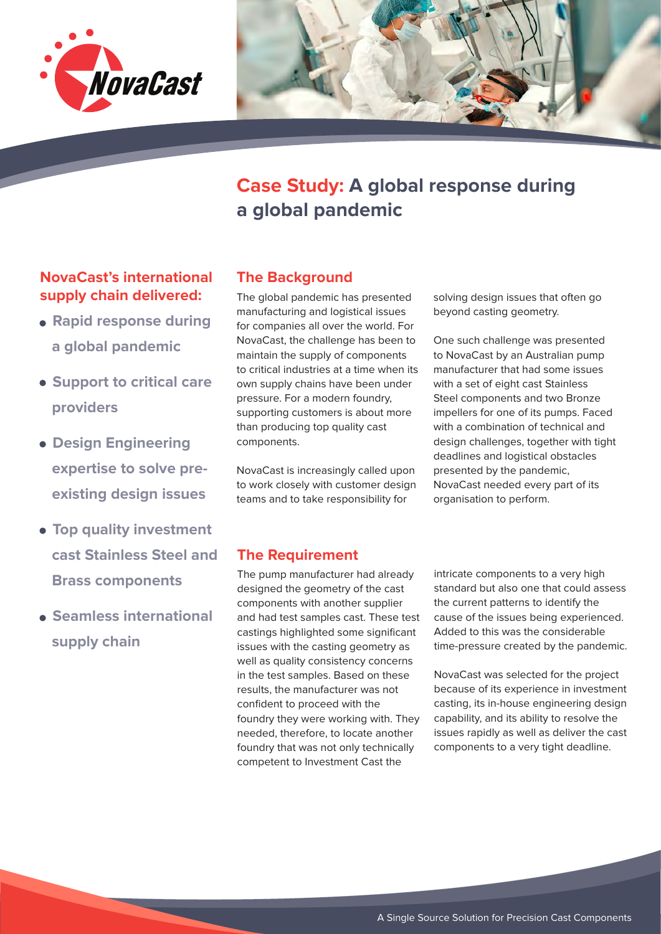



# **Case Study: A global response during a global pandemic**

# **NovaCast's international The Background supply chain delivered:**

- **Rapid response during a global pandemic**
- **Support to critical care providers**
- **Design Engineering expertise to solve pre existing design issues**
- **Top quality investment cast Stainless Steel and Brass components**
- **Seamless international supply chain**

The global pandemic has presented manufacturing and logistical issues for companies all over the world. For NovaCast, the challenge has been to maintain the supply of components to critical industries at a time when its own supply chains have been under pressure. For a modern foundry, supporting customers is about more than producing top quality cast components.

NovaCast is increasingly called upon to work closely with customer design teams and to take responsibility for

solving design issues that often go beyond casting geometry.

One such challenge was presented to NovaCast by an Australian pump manufacturer that had some issues with a set of eight cast Stainless Steel components and two Bronze impellers for one of its pumps. Faced with a combination of technical and design challenges, together with tight deadlines and logistical obstacles presented by the pandemic, NovaCast needed every part of its organisation to perform.

## **The Requirement**

The pump manufacturer had already designed the geometry of the cast components with another supplier and had test samples cast. These test castings highlighted some significant issues with the casting geometry as well as quality consistency concerns in the test samples. Based on these results, the manufacturer was not confident to proceed with the foundry they were working with. They needed, therefore, to locate another foundry that was not only technically competent to Investment Cast the

intricate components to a very high standard but also one that could assess the current patterns to identify the cause of the issues being experienced. Added to this was the considerable time-pressure created by the pandemic.

NovaCast was selected for the project because of its experience in investment casting, its in-house engineering design capability, and its ability to resolve the issues rapidly as well as deliver the cast components to a very tight deadline.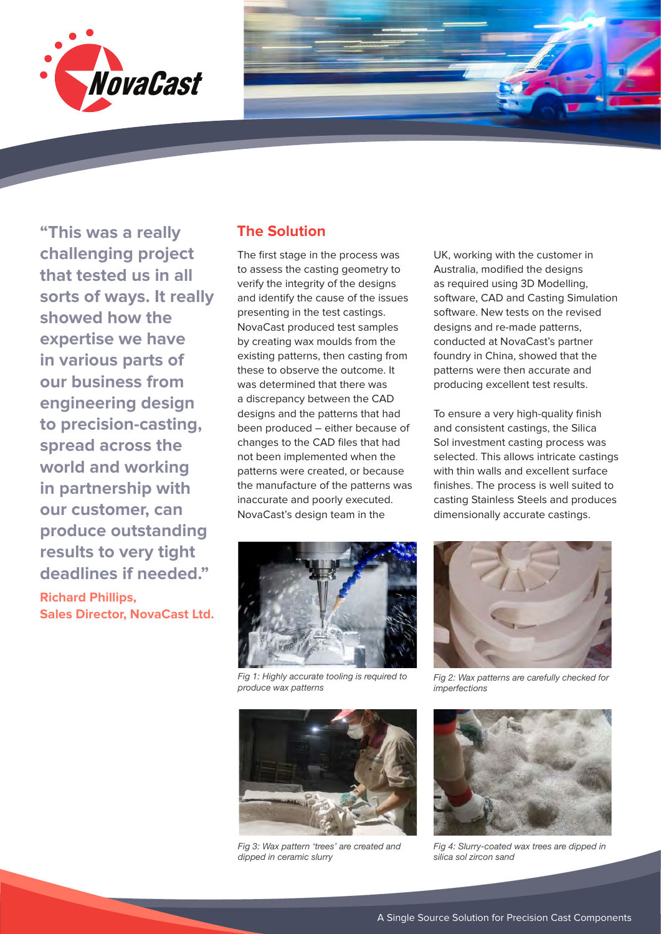



**Richard Phillips, Sales Director, NovaCast Ltd.**

#### **The Solution**

The first stage in the process was to assess the casting geometry to verify the integrity of the designs and identify the cause of the issues presenting in the test castings. NovaCast produced test samples by creating wax moulds from the existing patterns, then casting from these to observe the outcome. It was determined that there was a discrepancy between the CAD designs and the patterns that had been produced – either because of changes to the CAD files that had not been implemented when the patterns were created, or because the manufacture of the patterns was inaccurate and poorly executed. NovaCast's design team in the



*Fig 1: Highly accurate tooling is required to produce wax patterns*



*Fig 3: Wax pattern 'trees' are created and dipped in ceramic slurry*

UK, working with the customer in Australia, modified the designs as required using 3D Modelling, software, CAD and Casting Simulation software. New tests on the revised designs and re-made patterns, conducted at NovaCast's partner foundry in China, showed that the patterns were then accurate and producing excellent test results.

To ensure a very high-quality finish and consistent castings, the Silica Sol investment casting process was selected. This allows intricate castings with thin walls and excellent surface finishes. The process is well suited to casting Stainless Steels and produces dimensionally accurate castings.



*Fig 2: Wax patterns are carefully checked for imperfections*



*Fig 4: Slurry-coated wax trees are dipped in silica sol zircon sand*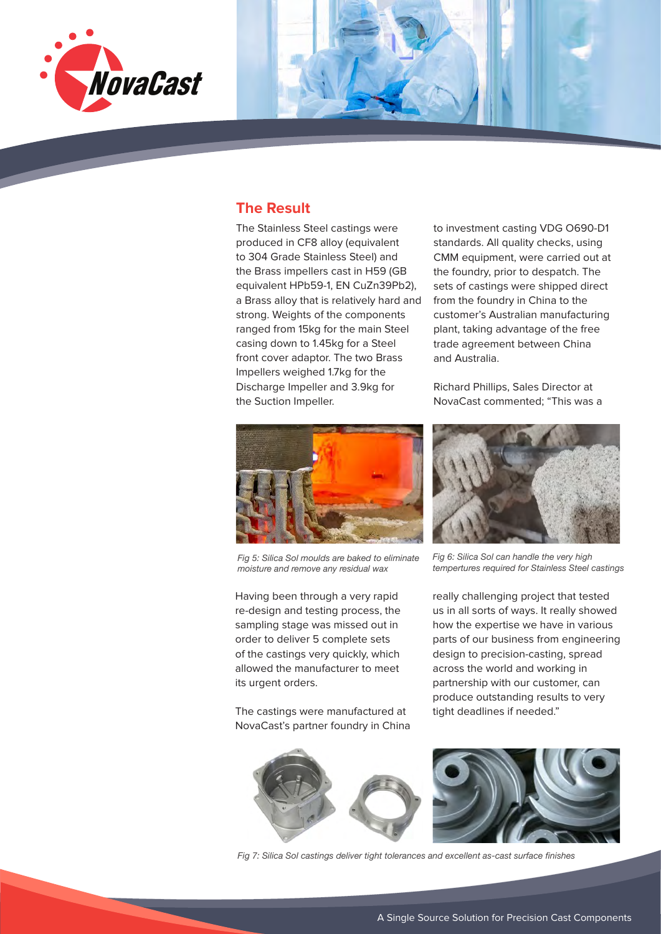



The Stainless Steel castings were produced in CF8 alloy (equivalent to 304 Grade Stainless Steel) and the Brass impellers cast in H59 (GB equivalent HPb59-1, EN CuZn39Pb2), a Brass alloy that is relatively hard and strong. Weights of the components ranged from 15kg for the main Steel casing down to 1.45kg for a Steel front cover adaptor. The two Brass Impellers weighed 1.7kg for the Discharge Impeller and 3.9kg for the Suction Impeller.

to investment casting VDG O690-D1 standards. All quality checks, using CMM equipment, were carried out at the foundry, prior to despatch. The sets of castings were shipped direct from the foundry in China to the customer's Australian manufacturing plant, taking advantage of the free trade agreement between China and Australia.

Richard Phillips, Sales Director at NovaCast commented; "This was a



*Fig 5: Silica Sol moulds are baked to eliminate moisture and remove any residual wax*

Having been through a very rapid re-design and testing process, the sampling stage was missed out in order to deliver 5 complete sets of the castings very quickly, which allowed the manufacturer to meet its urgent orders.

The castings were manufactured at NovaCast's partner foundry in China



*Fig 6: Silica Sol can handle the very high tempertures required for Stainless Steel castings*

really challenging project that tested us in all sorts of ways. It really showed how the expertise we have in various parts of our business from engineering design to precision-casting, spread across the world and working in partnership with our customer, can produce outstanding results to very tight deadlines if needed."



*Fig 7: Silica Sol castings deliver tight tolerances and excellent as-cast surface finishes*